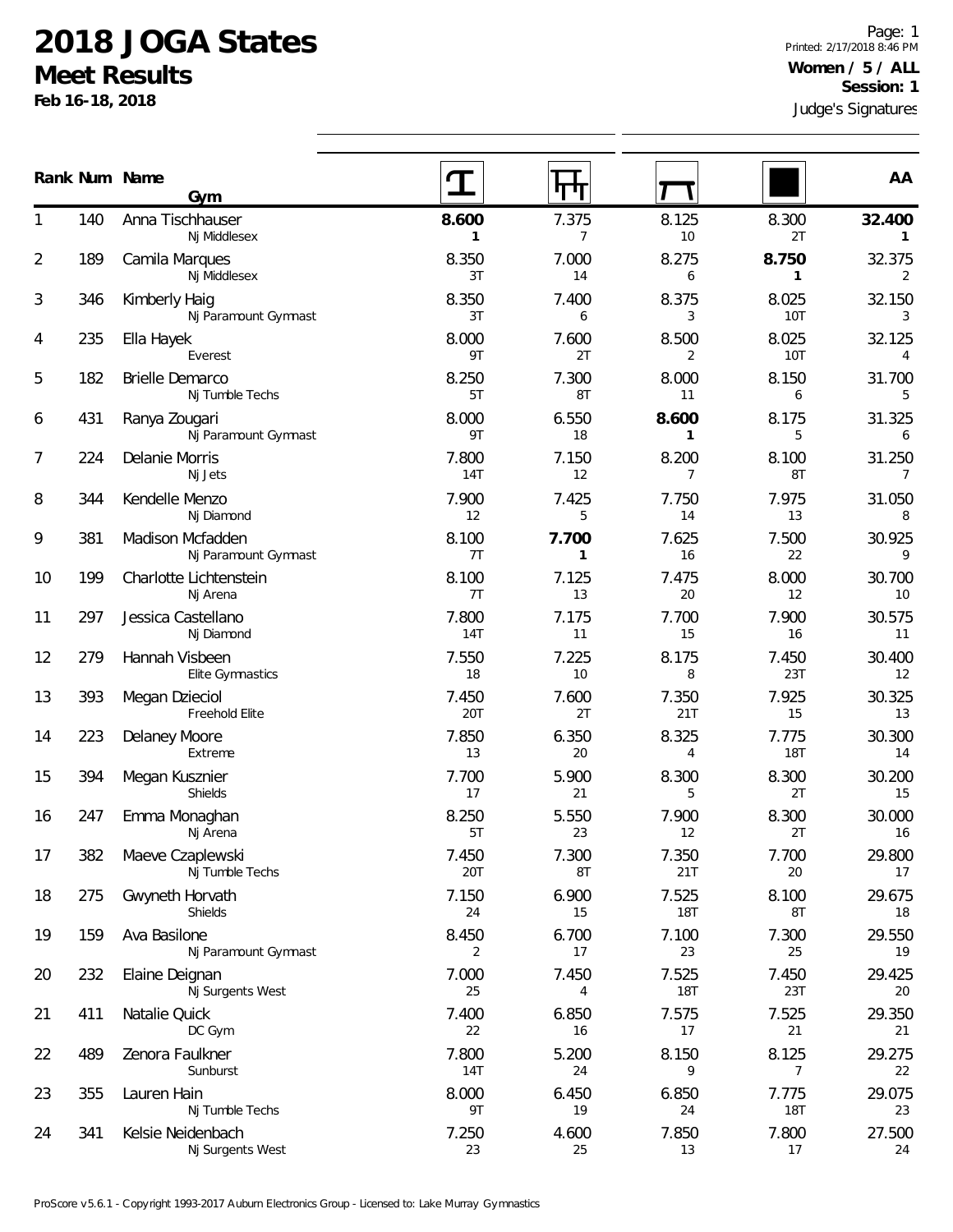## **2018 JOGA States**

**Meet Results**

**Feb 16-18, 2018**

|                |     | Rank Num Name<br>Gym                      |                       | गाम         |                         |                       | AA                       |
|----------------|-----|-------------------------------------------|-----------------------|-------------|-------------------------|-----------------------|--------------------------|
| 1              | 140 | Anna Tischhauser<br>Nj Middlesex          | 8.600<br>$\mathbf{1}$ | 7.375<br>7  | 8.125<br>10             | 8.300<br>2T           | 32.400<br>$\mathbf{1}$   |
| $\overline{2}$ | 189 | Camila Marques<br>Nj Middlesex            | 8.350<br>3T           | 7.000<br>14 | 8.275<br>6              | 8.750<br>$\mathbf{1}$ | 32.375<br>2              |
| 3              | 346 | Kimberly Haig<br>Nj Paramount Gymnast     | 8.350<br>3T           | 7.400<br>6  | 8.375<br>3              | 8.025<br>10T          | 32.150<br>3              |
| 4              | 235 | Ella Hayek<br>Everest                     | 8.000<br>9T           | 7.600<br>2T | 8.500<br>2              | 8.025<br><b>10T</b>   | 32.125<br>$\overline{4}$ |
| 5              | 182 | <b>Brielle Demarco</b><br>Nj Tumble Techs | 8.250<br>5T           | 7.300<br>8T | 8.000<br>11             | 8.150<br>6            | 31.700<br>5              |
| 6              | 431 | Ranya Zougari<br>Nj Paramount Gymnast     | 8.000<br>9T           | 6.550<br>18 | 8.600<br>1              | 8.175<br>5            | 31.325<br>6              |
| 7              | 224 | Delanie Morris<br>Nj Jets                 | 7.800<br>14T          | 7.150<br>12 | 8.200<br>$\overline{7}$ | 8.100<br>8T           | 31.250<br>7              |
| 8              | 344 | Kendelle Menzo<br>Nj Diamond              | 7.900<br>12           | 7.425<br>5  | 7.750<br>14             | 7.975<br>13           | 31.050<br>8              |
| 9              | 381 | Madison Mcfadden<br>Nj Paramount Gymnast  | 8.100<br>7T           | 7.700<br>1  | 7.625<br>16             | 7.500<br>22           | 30.925<br>9              |
| 10             | 199 | Charlotte Lichtenstein<br>Nj Arena        | 8.100<br>7T           | 7.125<br>13 | 7.475<br>20             | 8.000<br>12           | 30.700<br>10             |
| 11             | 297 | Jessica Castellano<br>Nj Diamond          | 7.800<br>14T          | 7.175<br>11 | 7.700<br>15             | 7.900<br>16           | 30.575<br>11             |
| 12             | 279 | Hannah Visbeen<br>Elite Gymnastics        | 7.550<br>18           | 7.225<br>10 | 8.175<br>8              | 7.450<br>23T          | 30.400<br>12             |
| 13             | 393 | Megan Dzieciol<br>Freehold Elite          | 7.450<br>20T          | 7.600<br>2T | 7.350<br>21T            | 7.925<br>15           | 30.325<br>13             |
| 14             | 223 | Delaney Moore<br>Extreme                  | 7.850<br>13           | 6.350<br>20 | 8.325<br>4              | 7.775<br><b>18T</b>   | 30.300<br>14             |
| 15             | 394 | Megan Kusznier<br>Shields                 | 7.700<br>17           | 5.900<br>21 | 8.300<br>5              | 8.300<br>2T           | 30.200<br>15             |
| 16             | 247 | Emma Monaghan<br>Nj Arena                 | 8.250<br>5T           | 5.550<br>23 | 7.900<br>12             | 8.300<br>2T           | 30.000<br>16             |
| 17             | 382 | Maeve Czaplewski<br>Nj Tumble Techs       | 7.450<br>20T          | 7.300<br>8T | 7.350<br>21T            | 7.700<br>20           | 29.800<br>17             |
| 18             | 275 | Gwyneth Horvath<br>Shields                | 7.150<br>24           | 6.900<br>15 | 7.525<br><b>18T</b>     | 8.100<br>8T           | 29.675<br>18             |
| 19             | 159 | Ava Basilone<br>Nj Paramount Gymnast      | 8.450<br>2            | 6.700<br>17 | 7.100<br>23             | 7.300<br>25           | 29.550<br>19             |
| 20             | 232 | Elaine Deignan<br>Nj Surgents West        | 7.000<br>25           | 7.450<br>4  | 7.525<br><b>18T</b>     | 7.450<br>23T          | 29.425<br>20             |
| 21             | 411 | Natalie Quick<br>DC Gym                   | 7.400<br>22           | 6.850<br>16 | 7.575<br>17             | 7.525<br>21           | 29.350<br>21             |
| 22             | 489 | Zenora Faulkner<br>Sunburst               | 7.800<br>14T          | 5.200<br>24 | 8.150<br>9              | 8.125<br>7            | 29.275<br>22             |
| 23             | 355 | Lauren Hain<br>Nj Tumble Techs            | 8.000<br>9T           | 6.450<br>19 | 6.850<br>24             | 7.775<br><b>18T</b>   | 29.075<br>23             |
| 24             | 341 | Kelsie Neidenbach<br>Nj Surgents West     | 7.250<br>23           | 4.600<br>25 | 7.850<br>13             | 7.800<br>17           | 27.500<br>24             |